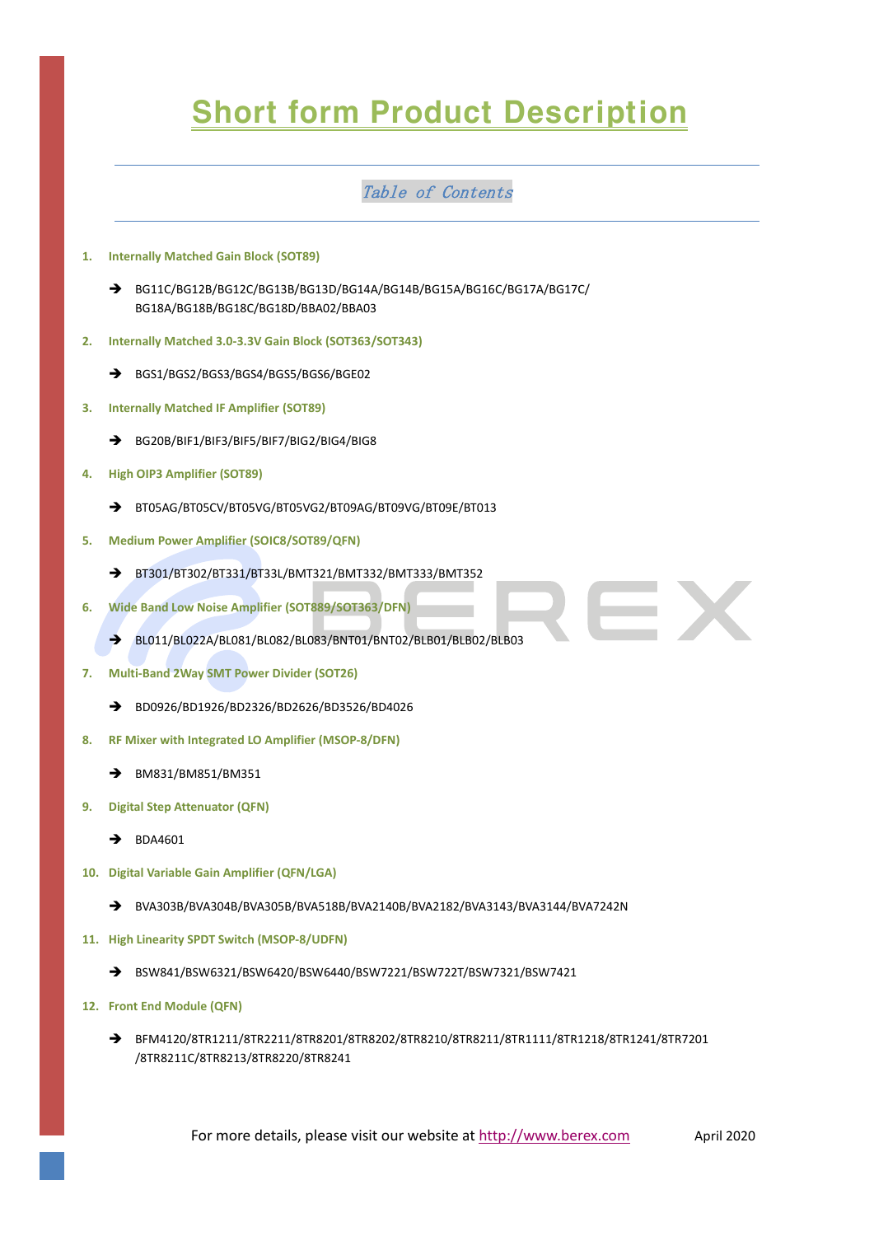# **Short form Product Description**

# Table of Contents

- **1. Internally Matched Gain Block (SOT89)**
	- ➔ BG11C/BG12B/BG12C/BG13B/BG13D/BG14A/BG14B/BG15A/BG16C/BG17A/BG17C/ BG18A/BG18B/BG18C/BG18D/BBA02/BBA03
- **2. Internally Matched 3.0-3.3V Gain Block (SOT363/SOT343)**
	- ➔ BGS1/BGS2/BGS3/BGS4/BGS5/BGS6/BGE02
- **3. Internally Matched IF Amplifier (SOT89)**
	- ➔ BG20B/BIF1/BIF3/BIF5/BIF7/BIG2/BIG4/BIG8
- **4. High OIP3 Amplifier (SOT89)**
	- ➔ BT05AG/BT05CV/BT05VG/BT05VG2/BT09AG/BT09VG/BT09E/BT013
- **5. Medium Power Amplifier (SOIC8/SOT89/QFN)**
	- ➔ BT301/BT302/BT331/BT33L/BMT321/BMT332/BMT333/BMT352
- **6. Wide Band Low Noise Amplifier (SOT889/SOT363/DFN)**
	- ➔ BL011/BL022A/BL081/BL082/BL083/BNT01/BNT02/BLB01/BLB02/BLB03
- **7. Multi-Band 2Way SMT Power Divider (SOT26)**
	- ➔ BD0926/BD1926/BD2326/BD2626/BD3526/BD4026
- **8. RF Mixer with Integrated LO Amplifier (MSOP-8/DFN)**
	- ➔ BM831/BM851/BM351
- **9. Digital Step Attenuator (QFN)**
	- ➔ BDA4601
- **10. Digital Variable Gain Amplifier (QFN/LGA)**
	- ➔ BVA303B/BVA304B/BVA305B/BVA518B/BVA2140B/BVA2182/BVA3143/BVA3144/BVA7242N
- **11. High Linearity SPDT Switch (MSOP-8/UDFN)**
	- ➔ BSW841/BSW6321/BSW6420/BSW6440/BSW7221/BSW722T/BSW7321/BSW7421
- **12. Front End Module (QFN)**
	- ➔ BFM4120/8TR1211/8TR2211/8TR8201/8TR8202/8TR8210/8TR8211/8TR1111/8TR1218/8TR1241/8TR7201 /8TR8211C/8TR8213/8TR8220/8TR8241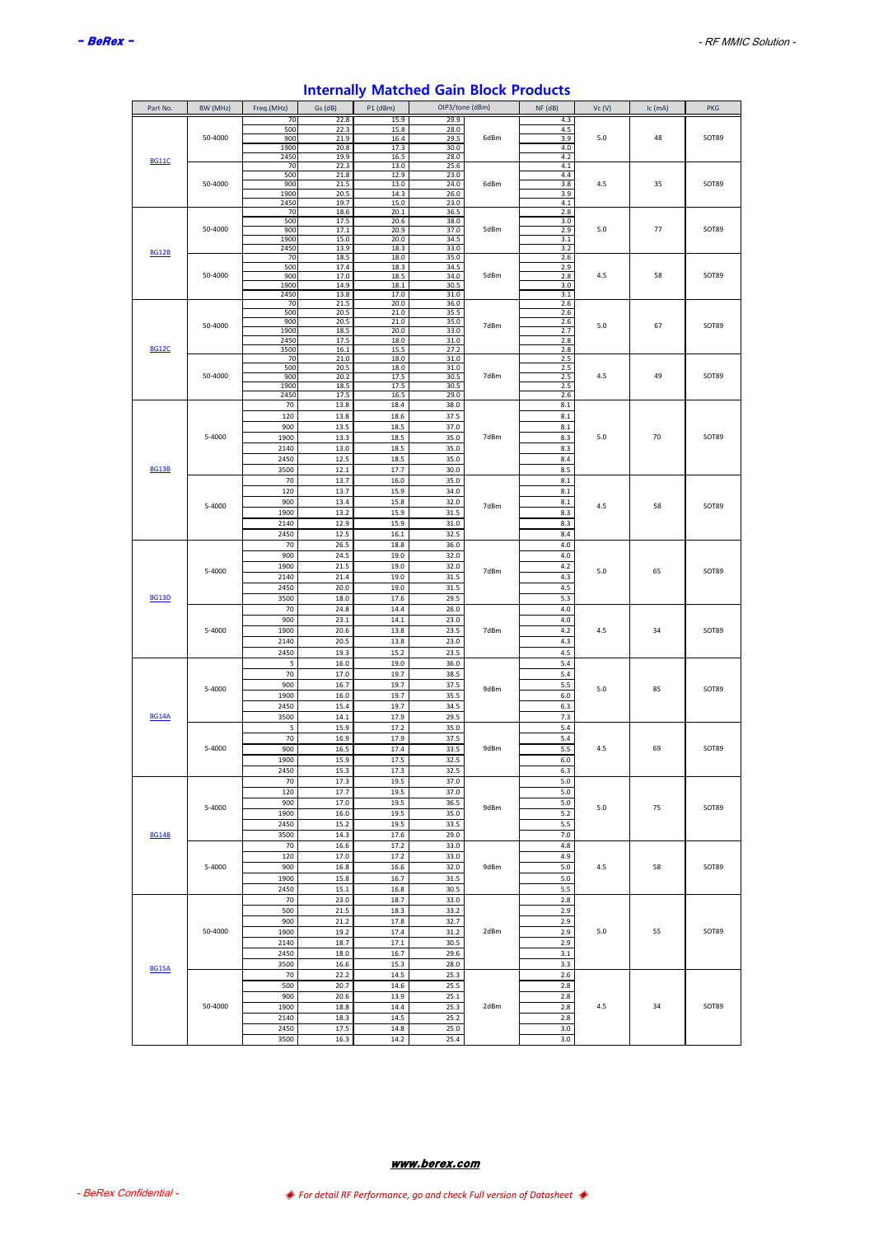| Part No.     | BW (MHz) | Freq.(MHz)   | Gs (dB)      | P1 (dBm)     | OIP3/tone (dBm) |      | NF (dB)    | Vc(V) | $lc$ (mA) | PKG   |
|--------------|----------|--------------|--------------|--------------|-----------------|------|------------|-------|-----------|-------|
|              |          | 70           | 22.8         | 15.9         | 29.9            |      | 4.3        |       |           |       |
|              | 50-4000  | 500<br>900   | 22.3<br>21.9 | 15.8<br>16.4 | 28.0<br>29.5    | 6dBm | 4.5<br>3.9 | 5.0   | 48        | SOT89 |
|              |          | 1900         | 20.8         | 17.3         | 30.0            |      | 4.0        |       |           |       |
|              |          | 2450         | 19.9         | 16.5         | 28.0            |      | 4.2        |       |           |       |
| <b>BG11C</b> |          | 70           | 22.3         | 13.0         | 25.6            |      | 4.1        |       |           |       |
|              |          | 500          | 21.8         | 12.9         | 23.0            |      | 4.4        |       |           |       |
|              | 50-4000  | 900<br>1900  | 21.5<br>20.5 | 13.0<br>14.3 | 24.0<br>26.0    | 6dBm | 3.8<br>3.9 | 4.5   | 35        | SOT89 |
|              |          | 2450         | 19.7         | 15.0         | 23.0            |      | $4.1\,$    |       |           |       |
|              |          | 70           | 18.6         | 20.1         | 36.5            |      | 2.8        |       |           |       |
|              |          | 500          | 17.5         | 20.6         | 38.0            |      | 3.0        |       |           |       |
|              | 50-4000  | 900<br>1900  | 17.1<br>15.0 | 20.9<br>20.0 | 37.0<br>34.5    | 5dBm | 2.9<br>3.1 | 5.0   | 77        | SOT89 |
|              |          | 2450         | 13.9         | 18.3         | 33.0            |      | 3.2        |       |           |       |
| <b>BG12B</b> |          | 70           | 18.5         | 18.0         | 35.0            |      | 2.6        |       |           |       |
|              |          | 500          | 17.4         | 18.3         | 34.5            |      | 2.9        |       |           |       |
|              | 50-4000  | 900<br>1900  | 17.0         | 18.5         | 34.0            | 5dBm | 2.8        | 4.5   | 58        | SOT89 |
|              |          | 2450         | 14.9<br>13.8 | 18.1<br>17.0 | 30.5<br>31.0    |      | 3.0<br>3.1 |       |           |       |
|              |          | 70           | 21.5         | 20.0         | 36.0            |      | 2.6        |       |           |       |
|              |          | 500          | 20.5         | 21.0         | 35.5            |      | 2.6        |       |           |       |
|              | 50-4000  | 900<br>1900  | 20.5         | 21.0         | 35.0            | 7dBm | 2.6        | 5.0   | 67        | SOT89 |
|              |          | 2450         | 18.5<br>17.5 | 20.0<br>18.0 | 33.0<br>31.0    |      | 2.7<br>2.8 |       |           |       |
| <b>BG12C</b> |          | 3500         | 16.1         | 15.5         | 27.2            |      | 2.8        |       |           |       |
|              |          | 70           | 21.0         | 18.0         | 31.0            |      | 2.5        |       |           |       |
|              | 50-4000  | 500<br>900   | 20.5         | 18.0         | 31.0            | 7dBm | 2.5        | 4.5   | 49        | SOT89 |
|              |          | 1900         | 20.2<br>18.5 | 17.5<br>17.5 | 30.5<br>30.5    |      | 2.5<br>2.5 |       |           |       |
|              |          | 2450         | 17.5         | 16.5         | 29.0            |      | 2.6        |       |           |       |
|              |          | 70           | 13.8         | 18.4         | 38.0            |      | 8.1        |       |           |       |
|              |          | 120          | 13.8         | 18.6         | 37.5            |      | 8.1        |       |           |       |
|              |          | 900          | 13.5         | 18.5         | 37.0            |      | 8.1        |       |           |       |
|              | 5-4000   | 1900         | 13.3         | 18.5         | 35.0            | 7dBm | 8.3        | 5.0   | 70        | SOT89 |
|              |          | 2140         | 13.0         | 18.5         | 35.0            |      | 8.3        |       |           |       |
|              |          | 2450         | 12.5         | 18.5         | 35.0            |      | 8.4        |       |           |       |
| <b>BG13B</b> |          | 3500         | 12.1         | 17.7         | 30.0            |      | 8.5        |       |           |       |
|              |          | 70           | 13.7         | 16.0         | 35.0            |      | 8.1        |       |           |       |
|              |          | 120          | 13.7         | 15.9         | 34.0            |      | 8.1        |       |           |       |
|              | 5-4000   | 900          | 13.4         | 15.8         | 32.0            | 7dBm | 8.1        | 4.5   | 58        | SOT89 |
|              |          | 1900         | 13.2         | 15.9         | 31.5            |      | 8.3        |       |           |       |
|              |          | 2140<br>2450 | 12.9<br>12.5 | 15.9         | 31.0            |      | 8.3<br>8.4 |       |           |       |
|              |          | 70           | 26.5         | 16.1<br>18.8 | 32.5<br>36.0    |      | 4.0        |       |           |       |
|              |          | 900          | 24.5         | 19.0         | 32.0            |      | $4.0$      |       |           |       |
|              |          | 1900         | 21.5         | 19.0         | 32.0            |      | 4.2        |       |           |       |
|              | 5-4000   | 2140         | 21.4         | 19.0         | 31.5            | 7dBm | 4.3        | 5.0   | 65        | SOT89 |
|              |          | 2450         | 20.0         | 19.0         | 31.5            |      | 4.5        |       |           |       |
| <b>BG13D</b> |          | 3500         | 18.0         | 17.6         | 29.5            |      | 5.3        |       |           |       |
|              |          | 70           | 24.8         | 14.4         | 26.0            |      | 4.0        |       |           |       |
|              |          | 900          | 23.1         | 14.1         | 23.0            |      | 4.0        |       |           |       |
|              | 5-4000   | 1900         | 20.6         | 13.8         | 23.5            | 7dBm | $4.2\,$    | 4.5   | 34        | SOT89 |
|              |          | 2140         | 20.5         | 13.8         | 23.0            |      | 4.3        |       |           |       |
|              |          | 2450         | 19.3         | 15.2         | 23.5            |      | 4.5        |       |           |       |
|              |          | 5            | 16.0         | 19.0         | 36.0            |      | 5.4        |       |           |       |
|              |          | 70           | 17.0         | 19.7         | 38.5            |      | 5.4        |       |           |       |
|              | 5-4000   | 900          | 16.7         | 19.7         | 37.5            | 9dBm | 5.5        | 5.0   | 85        | SOT89 |
|              |          | 1900         | 16.0         | 19.7         | 35.5            |      | $6.0\,$    |       |           |       |
| <b>BG14A</b> |          | 2450         | 15.4         | 19.7         | 34.5            |      | 6.3        |       |           |       |
|              |          | 3500<br>5    | 14.1<br>15.9 | 17.9<br>17.2 | 29.5<br>35.0    |      | 7.3<br>5.4 |       |           |       |
|              |          | 70           | 16.9         | 17.9         | 37.5            |      | 5.4        |       |           |       |
|              | 5-4000   | 900          | 16.5         | 17.4         | 33.5            | 9dBm | 5.5        | 4.5   | 69        | SOT89 |
|              |          | 1900         | 159          | 175          | 32.5            |      | 6.0        |       |           |       |
|              |          | 2450         | 15.3         | 17.3         | 32.5            |      | 6.3        |       |           |       |
|              |          | 70           | 17.3         | 19.5         | 37.0            |      | 5.0        |       |           |       |
|              |          | 120          | 17.7         | 19.5         | 37.0            |      | $5.0\,$    |       |           |       |
|              | 5-4000   | 900          | 17.0         | 19.5         | 36.5            | 9dBm | 5.0        | 5.0   | 75        | SOT89 |
|              |          | 1900         | 16.0         | 19.5         | 35.0            |      | 5.2        |       |           |       |
|              |          | 2450         | 15.2         | 19.5         | 33.5            |      | 5.5        |       |           |       |
| <b>BG14B</b> |          | 3500         | 14.3         | 17.6         | 29.0            |      | 7.0        |       |           |       |
|              |          | 70           | 16.6         | 17.2         | 33.0            |      | 4.8        |       |           |       |
|              |          | 120          | 17.0         | 17.2         | 33.0            |      | 4.9        |       |           |       |
|              | 5-4000   | 900          | 16.8         | 16.6         | 32.0            | 9dBm | 5.0        | 4.5   | 58        | SOT89 |
|              |          | 1900         | 15.8         | 16.7         | 31.5            |      | $5.0\,$    |       |           |       |
|              |          | 2450         | $15.1\,$     | 16.8         | 30.5            |      | 5.5        |       |           |       |
|              |          | 70           | 23.0         | 18.7         | 33.0            |      | 2.8        |       |           |       |
|              |          | 500<br>900   | 21.5<br>21.2 | 18.3<br>17.8 | 33.2<br>32.7    |      | 2.9<br>2.9 |       |           |       |
|              | 50-4000  | 1900         | 19.2         | 17.4         | 31.2            | 2dBm | 2.9        | 5.0   | 55        | SOT89 |
|              |          | 2140         | 18.7         | 17.1         | 30.5            |      | 2.9        |       |           |       |
|              |          | 2450         | 18.0         | 16.7         | 29.6            |      | 3.1        |       |           |       |
|              |          | 3500         | 16.6         | 15.3         | 28.0            |      | 3.3        |       |           |       |
| <b>BG15A</b> |          | 70           | 22.2         | 14.5         | 25.3            |      | 2.6        |       |           |       |
|              |          | 500          | 20.7         | 14.6         | 25.5            |      | 2.8        |       |           |       |
|              |          | 900          | 20.6         | 13.9         | 25.1            |      | 2.8        |       |           |       |
|              | 50-4000  | 1900         | 18.8         | 14.4         | 25.3            | 2dBm | 2.8        | 4.5   | 34        | SOT89 |
|              |          | 2140         | 18.3         | 14.5         | 25.2            |      | 2.8        |       |           |       |
|              |          | 2450         | 17.5         | 14.8         | 25.0            |      | $3.0\,$    |       |           |       |
|              |          | 3500         | 16.3         | 14.2         | 25.4            |      | 3.0        |       |           |       |

# **Internally Matched Gain Block Products**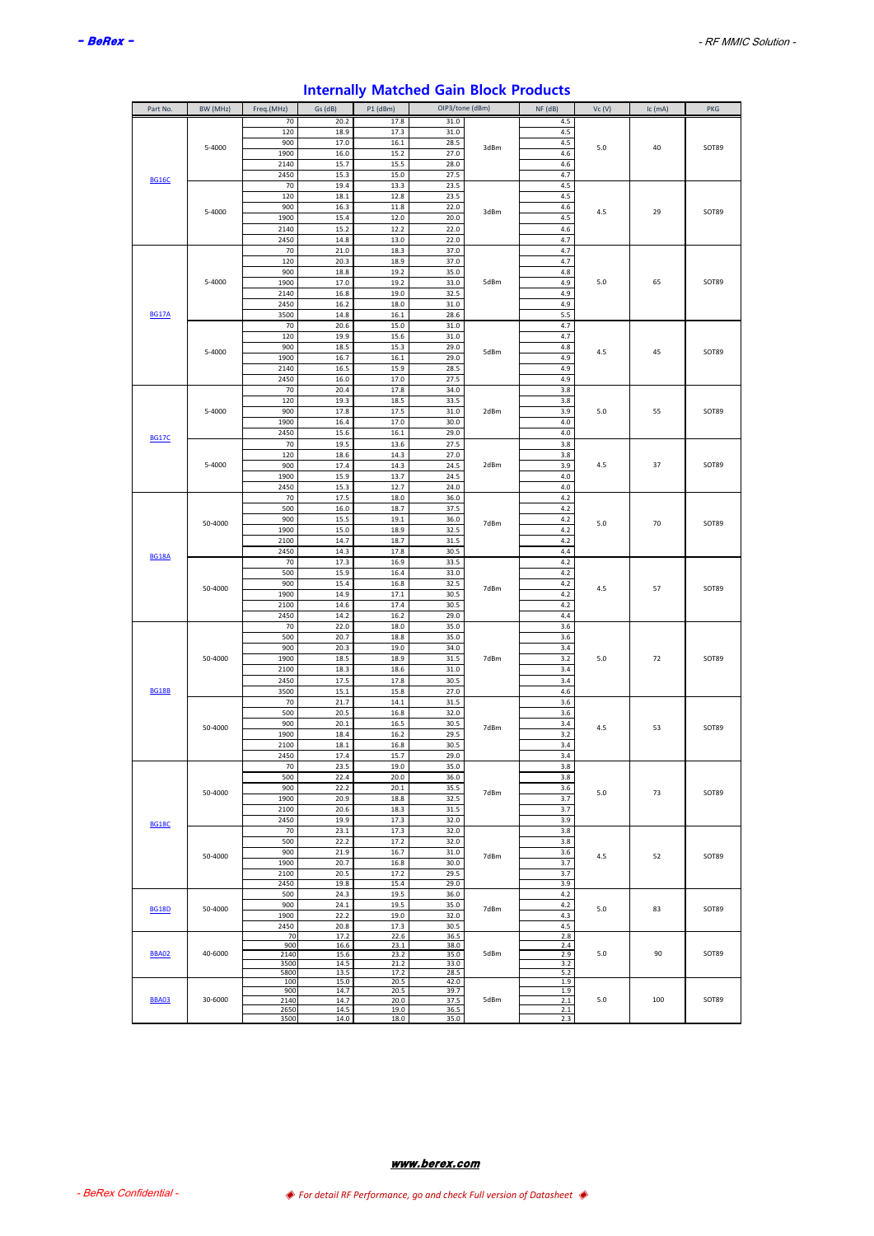| Part No.     | BW (MHz) | Freq.(MHz)     | Gs (dB)          | P1 (dBm)     |              | OIP3/tone (dBm) | NF (dB)        | Vc(V) | Ic (mA) | PKG   |
|--------------|----------|----------------|------------------|--------------|--------------|-----------------|----------------|-------|---------|-------|
|              |          | 70             | 20.2             | 17.8         | 31.0         |                 | 4.5            |       |         |       |
|              |          | 120            | 18.9             | 17.3         | 31.0         |                 | 4.5            |       |         |       |
|              | 5-4000   | 900            | 17.0             | 16.1         | 28.5         | 3dBm            | 4.5            | 5.0   | 40      | SOT89 |
|              |          | 1900           | 16.0             | 15.2         | 27.0         |                 | 4.6            |       |         |       |
|              |          | 2140           | 15.7             | 15.5         | 28.0         |                 | 4.6            |       |         |       |
| <b>BG16C</b> |          | 2450<br>70     | 15.3<br>19.4     | 15.0<br>13.3 | 27.5<br>23.5 |                 | 4.7<br>4.5     |       |         |       |
|              |          | 120            | 18.1             | 12.8         | 23.5         |                 | 4.5            |       |         |       |
|              |          | 900            | 16.3             | 11.8         | 22.0         |                 | 4.6            |       |         |       |
|              | 5-4000   | 1900           | 15.4             | 12.0         | 20.0         | 3dBm            | 4.5            | 4.5   | 29      | SOT89 |
|              |          | 2140           | 15.2             | 12.2         | 22.0         |                 | 4.6            |       |         |       |
|              |          | 2450           | 14.8             | 13.0         | 22.0         |                 | 4.7            |       |         |       |
|              |          | 70             | 21.0             | 18.3         | 37.0         |                 | 4.7            |       |         |       |
|              |          | 120            | 20.3             | 18.9         | 37.0         |                 | 4.7            |       |         |       |
|              |          | 900            | 18.8             | 19.2         | 35.0         |                 | 4.8            |       |         |       |
|              | 5-4000   | 1900           | 17.0             | 19.2         | 33.0         | 5dBm            | 4.9            | 5.0   | 65      | SOT89 |
|              |          | 2140<br>2450   | 16.8<br>16.2     | 19.0<br>18.0 | 32.5<br>31.0 |                 | 4.9<br>4.9     |       |         |       |
| <b>BG17A</b> |          | 3500           | 14.8             | 16.1         | 28.6         |                 | 5.5            |       |         |       |
|              |          | 70             | 20.6             | 15.0         | 31.0         |                 | 4.7            |       |         |       |
|              |          | 120            | 19.9             | 15.6         | 31.0         |                 | 4.7            |       |         |       |
|              |          | 900            | 18.5             | 15.3         | 29.0         |                 | 4.8            |       |         |       |
|              | 5-4000   | 1900           | 16.7             | 16.1         | 29.0         | 5dBm            | 4.9            | 4.5   | 45      | SOT89 |
|              |          | 2140           | 16.5             | 15.9         | 28.5         |                 | 4.9            |       |         |       |
|              |          | 2450           | 16.0             | 17.0         | 27.5         |                 | 4.9            |       |         |       |
|              |          | 70             | 20.4             | 17.8         | 34.0         |                 | 3.8            |       |         |       |
|              |          | 120            | 19.3             | 18.5         | 33.5         |                 | 3.8            |       |         |       |
|              | 5-4000   | 900            | 17.8             | 17.5         | 31.0         | 2dBm            | 3.9            | 5.0   | 55      | SOT89 |
|              |          | 1900           | 16.4             | 17.0         | 30.0         |                 | 4.0            |       |         |       |
| <b>BG17C</b> |          | 2450<br>$70\,$ | 15.6<br>19.5     | 16.1         | 29.0         |                 | $4.0$          |       |         |       |
|              |          | 120            | 18.6             | 13.6<br>14.3 | 27.5<br>27.0 |                 | 3.8<br>3.8     |       |         |       |
|              | 5-4000   | 900            | 17.4             | 14.3         | 24.5         | 2dBm            | 3.9            | 4.5   | 37      | SOT89 |
|              |          | 1900           | 15.9             | 13.7         | 24.5         |                 | 4.0            |       |         |       |
|              |          | 2450           | 15.3             | 12.7         | 24.0         |                 | 4.0            |       |         |       |
|              |          | 70             | 17.5             | 18.0         | 36.0         |                 | $4.2\,$        |       |         |       |
|              |          | 500            | 16.0             | 18.7         | 37.5         |                 | 4.2            |       |         |       |
|              | 50-4000  | 900            | 15.5             | 19.1         | 36.0         | 7dBm            | $4.2\,$        | 5.0   | 70      | SOT89 |
|              |          | 1900           | 15.0             | 18.9         | 32.5         |                 | 4.2            |       |         |       |
|              |          | 2100           | 14.7             | 18.7         | 31.5         |                 | 4.2            |       |         |       |
| <b>BG18A</b> |          | 2450           | 14.3             | 17.8         | 30.5         |                 | 4.4            |       |         |       |
|              |          | 70<br>500      | 17.3<br>15.9     | 16.9<br>16.4 | 33.5<br>33.0 |                 | 4.2<br>4.2     |       |         |       |
|              |          | 900            | 15.4             | 16.8         | 32.5         |                 | 4.2            |       |         |       |
|              | 50-4000  | 1900           | 14.9             | 17.1         | 30.5         | 7dBm            | $4.2\,$        | 4.5   | 57      | SOT89 |
|              |          | 2100           | 14.6             | 17.4         | 30.5         |                 | 4.2            |       |         |       |
|              |          | 2450           | 14.2             | 16.2         | 29.0         |                 | 4.4            |       |         |       |
|              |          | 70             | 22.0             | 18.0         | 35.0         |                 | 3.6            |       |         |       |
|              |          | 500            | 20.7             | 18.8         | 35.0         |                 | 3.6            |       |         |       |
|              |          | 900            | 20.3             | 19.0         | 34.0         |                 | 3.4            |       |         |       |
|              | 50-4000  | 1900           | 18.5             | 18.9         | 31.5         | 7dBm            | 3.2            | 5.0   | 72      | SOT89 |
|              |          | 2100           | 18.3             | 18.6         | 31.0         |                 | 3.4            |       |         |       |
| <b>BG18B</b> |          | 2450<br>3500   | 17.5<br>$15.1\,$ | 17.8<br>15.8 | 30.5<br>27.0 |                 | 3.4<br>4.6     |       |         |       |
|              |          | 70             | 21.7             | 14.1         | 31.5         |                 | 3.6            |       |         |       |
|              |          | 500            | 20.5             | 16.8         | 32.0         |                 | 3.6            |       |         |       |
|              |          | 900            | 20.1             | 16.5         | 30.5         |                 | 3.4            |       |         |       |
|              | 50-4000  | 1900           | 18.4             | 16.2         | 29.5         | 7dBm            | 3.2            | 4.5   | 53      | SOT89 |
|              |          | 2100           | 18.1             | 16.8         | 30.5         |                 | 3.4            |       |         |       |
|              |          | 2450           | 17.4             | 15.7         | 29.0         |                 | 3.4            |       |         |       |
|              |          | 70             | 23.5             | 19.0         | 35.0         |                 | 3.8            |       |         |       |
|              |          | 500            | 22.4             | 20.0         | 36.0         |                 | 3.8            |       |         |       |
|              | 50-4000  | 900            | 22.2             | 20.1         | 35.5         | 7dBm            | 3.6            | 5.0   | 73      | SOT89 |
|              |          | 1900<br>2100   | 20.9<br>20.6     | 18.8<br>18.3 | 32.5<br>31.5 |                 | 3.7<br>3.7     |       |         |       |
|              |          | 2450           | 19.9             | 17.3         | 32.0         |                 | 3.9            |       |         |       |
| <b>BG18C</b> |          | 70             | 23.1             | 17.3         | 32.0         |                 | 3.8            |       |         |       |
|              |          | 500            | 22.2             | 17.2         | 32.0         |                 | 3.8            |       |         |       |
|              | 50-4000  | 900            | 21.9             | 16.7         | 31.0         | 7dBm            | 3.6            | 4.5   | 52      | SOT89 |
|              |          | 1900           | 20.7             | 16.8         | 30.0         |                 | 3.7            |       |         |       |
|              |          | 2100           | 20.5             | 17.2         | 29.5         |                 | 3.7            |       |         |       |
|              |          | 2450           | 19.8             | 15.4         | 29.0         |                 | 3.9            |       |         |       |
|              |          | 500            | 24.3             | 19.5         | 36.0         |                 | $4.2\,$        |       |         |       |
| <b>BG18D</b> | 50-4000  | 900            | 24.1<br>22.2     | 19.5         | 35.0<br>32.0 | 7dBm            | $4.2\,$<br>4.3 | 5.0   | 83      | SOT89 |
|              |          | 1900<br>2450   | 20.8             | 19.0<br>17.3 | 30.5         |                 | 4.5            |       |         |       |
|              |          | 70             | 17.2             | 22.6         | 36.5         |                 | $2.8\,$        |       |         |       |
|              |          | 900            | 16.6             | 23.1         | 38.0         |                 | 2.4            |       |         |       |
| <b>BBA02</b> | 40-6000  | 2140           | 15.6             | 23.2         | 35.0         | 5dBm            | 2.9            | 5.0   | 90      | SOT89 |
|              |          | 3500<br>5800   | 14.5<br>13.5     | 21.2<br>17.2 | 33.0<br>28.5 |                 | 3.2<br>$5.2$   |       |         |       |
|              |          | 100            | 15.0             | 20.5         | 42.0         |                 | 1.9            |       |         |       |
|              |          | 900            | 14.7             | 20.5         | 39.7         |                 | 1.9            |       |         |       |
| <b>BBA03</b> | 30-6000  | 2140           | 14.7             | 20.0         | 37.5         | 5dBm            | 2.1            | 5.0   | 100     | SOT89 |
|              |          | 2650<br>3500   | 14.5<br>14.0     | 19.0<br>18.0 | 36.5<br>35.0 |                 | 2.1<br>2.3     |       |         |       |
|              |          |                |                  |              |              |                 |                |       |         |       |

# **Internally Matched Gain Block Products**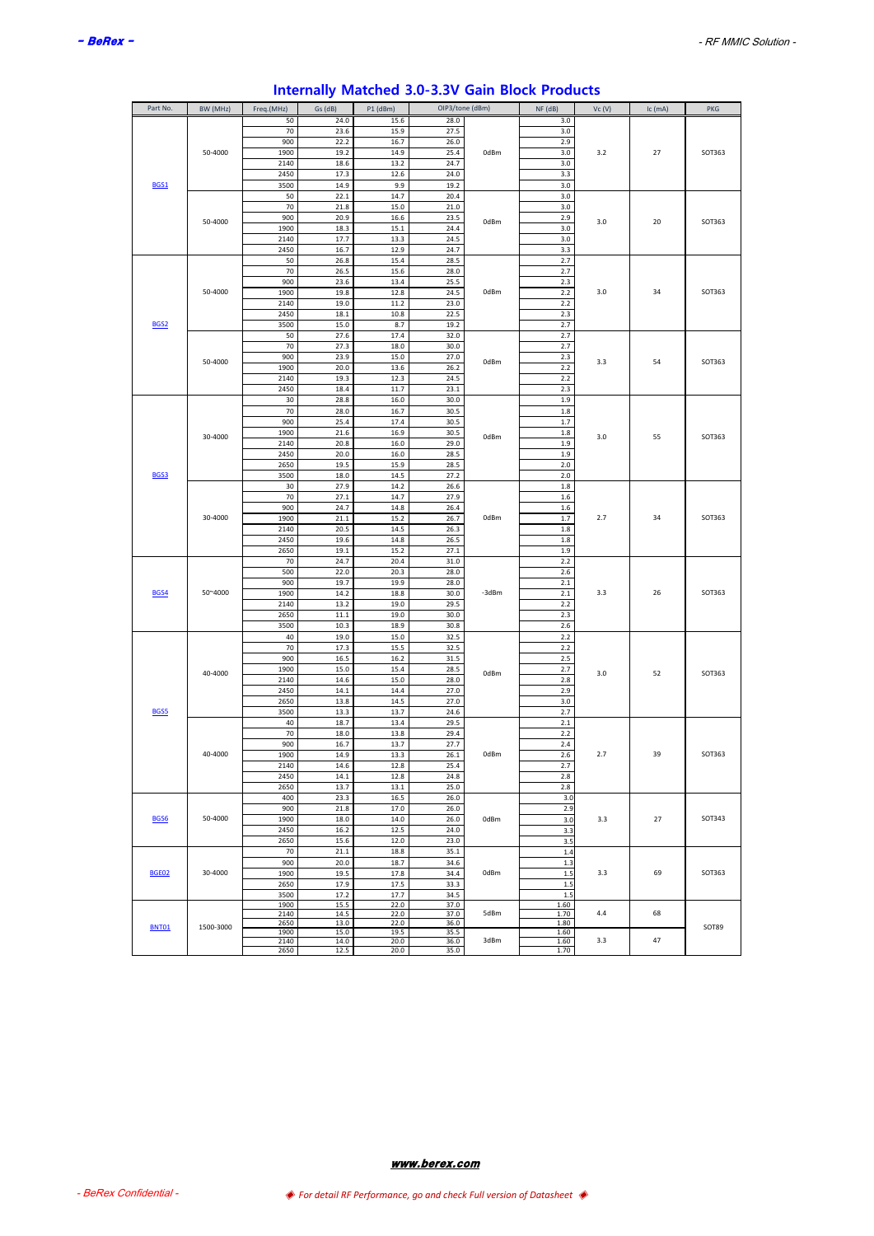| Part No.         | BW (MHz)  | Freq.(MHz) | Gs (dB) | P1 (dBm) | OIP3/tone (dBm) |       | $NF$ ( $dB$ ) | VC (V) | Ic (mA) | <b>PKG</b> |
|------------------|-----------|------------|---------|----------|-----------------|-------|---------------|--------|---------|------------|
|                  |           | 50         | 24.0    | 15.6     | 28.0            |       | 3.0           |        |         |            |
|                  |           | 70         |         |          |                 |       |               |        |         |            |
|                  |           |            | 23.6    | 15.9     | 27.5            |       | 3.0           |        |         |            |
|                  |           | 900        | 22.2    | 16.7     | 26.0            |       | 2.9           |        |         |            |
|                  | 50-4000   | 1900       | 19.2    | 14.9     | 25.4            | 0dBm  | 3.0           | 3.2    | 27      | SOT363     |
|                  |           | 2140       | 18.6    | 13.2     | 24.7            |       | 3.0           |        |         |            |
|                  |           | 2450       | 17.3    | 12.6     | 24.0            |       | 3.3           |        |         |            |
| BGS1             |           | 3500       | 14.9    | 9.9      | 19.2            |       | 3.0           |        |         |            |
|                  |           | 50         | 22.1    | 14.7     | 20.4            |       | 3.0           |        |         |            |
|                  |           | 70         | 21.8    | 15.0     | 21.0            |       | 3.0           |        |         |            |
|                  | 50-4000   | 900        | 20.9    | 16.6     | 23.5            | 0dBm  | 2.9           | 3.0    | 20      | SOT363     |
|                  |           | 1900       | 18.3    | 15.1     | 24.4            |       | 3.0           |        |         |            |
|                  |           | 2140       | 17.7    | 13.3     | 24.5            |       | 3.0           |        |         |            |
|                  |           | 2450       | 16.7    | 12.9     | 24.7            |       | 3.3           |        |         |            |
|                  |           | 50         | 26.8    | 15.4     | 28.5            |       | 2.7           |        |         |            |
|                  |           | 70         | 26.5    | 15.6     | 28.0            |       | 2.7           |        |         |            |
|                  |           | 900        | 23.6    | 13.4     | 25.5            |       | 2.3           |        |         |            |
|                  | 50-4000   | 1900       | 19.8    | 12.8     | 24.5            | 0dBm  | 2.2           | 3.0    | 34      | SOT363     |
|                  |           | 2140       | 19.0    | 11.2     | 23.0            |       | 2.2           |        |         |            |
|                  |           | 2450       | 18.1    | 10.8     | 22.5            |       | 2.3           |        |         |            |
| BGS <sub>2</sub> |           | 3500       | 15.0    | 8.7      | 19.2            |       | 2.7           |        |         |            |
|                  |           | 50         | 27.6    | 17.4     | 32.0            |       | 2.7           |        |         |            |
|                  |           | 70         | 27.3    | 18.0     | 30.0            |       | 2.7           |        |         |            |
|                  |           |            |         |          |                 |       |               |        |         |            |
|                  | 50-4000   | 900        | 23.9    | 15.0     | 27.0            | 0dBm  | 2.3           | 3.3    | 54      | SOT363     |
|                  |           | 1900       | 20.0    | 13.6     | 26.2            |       | 2.2           |        |         |            |
|                  |           | 2140       | 19.3    | 12.3     | 24.5            |       | 2.2           |        |         |            |
|                  |           | 2450       | 18.4    | 11.7     | 23.1            |       | 2.3           |        |         |            |
|                  |           | 30         | 28.8    | 16.0     | 30.0            |       | 1.9           |        |         |            |
|                  |           | 70         | 28.0    | 16.7     | 30.5            |       | 1.8           |        |         |            |
|                  |           | 900        | 25.4    | 17.4     | 30.5            |       | 1.7           |        |         |            |
|                  | 30-4000   | 1900       | 21.6    | 16.9     | 30.5            | 0dBm  | 1.8           | 3.0    | 55      | SOT363     |
|                  |           | 2140       | 20.8    | 16.0     | 29.0            |       | 1.9           |        |         |            |
|                  |           | 2450       | 20.0    | 16.0     | 28.5            |       | 1.9           |        |         |            |
|                  |           | 2650       | 19.5    | 15.9     | 28.5            |       | 2.0           |        |         |            |
| BGS3             |           | 3500       | 18.0    | 14.5     | 27.2            |       | 2.0           |        |         |            |
|                  |           | 30         | 27.9    | 14.2     | 26.6            |       | 1.8           |        |         |            |
|                  |           | 70         | 27.1    | 14.7     | 27.9            |       | 1.6           |        |         |            |
|                  |           | 900        | 24.7    | 14.8     | 26.4            |       | 1.6           |        |         |            |
|                  | 30-4000   | 1900       | 21.1    | 15.2     | 26.7            | 0dBm  | 1.7           | 2.7    | 34      | SOT363     |
|                  |           |            |         |          |                 |       |               |        |         |            |
|                  |           | 2140       | 20.5    | 14.5     | 26.3            |       | 1.8           |        |         |            |
|                  |           | 2450       | 19.6    | 14.8     | 26.5            |       | 1.8           |        |         |            |
|                  |           | 2650       | 19.1    | 15.2     | 27.1            |       | 1.9           |        |         |            |
|                  |           | 70         | 24.7    | 20.4     | 31.0            |       | 2.2           |        |         |            |
|                  |           | 500        | 22.0    | 20.3     | 28.0            |       | 2.6           |        |         |            |
|                  |           | 900        | 19.7    | 19.9     | 28.0            |       | 2.1           |        |         |            |
| BGS4             | 50~4000   | 1900       | 14.2    | 18.8     | 30.0            | -3dBm | 2.1           | 3.3    | 26      | SOT363     |
|                  |           | 2140       | 13.2    | 19.0     | 29.5            |       | 2.2           |        |         |            |
|                  |           | 2650       | 11.1    | 19.0     | 30.0            |       | 2.3           |        |         |            |
|                  |           | 3500       | 10.3    | 18.9     | 30.8            |       | 2.6           |        |         |            |
|                  |           | 40         | 19.0    | 15.0     | 32.5            |       | 2.2           |        |         |            |
|                  |           | 70         | 17.3    | 15.5     | 32.5            |       | 2.2           |        |         |            |
|                  |           | 900        | 16.5    | 16.2     | 31.5            |       | 2.5           |        |         |            |
|                  |           | 1900       | 15.0    | 15.4     | 28.5            |       | 2.7           |        |         |            |
|                  | 40-4000   | 2140       | 14.6    | 15.0     | 28.0            | 0dBm  | 2.8           | 3.0    | 52      | SOT363     |
|                  |           | 2450       | 14.1    | 14.4     | 27.0            |       | 2.9           |        |         |            |
|                  |           | 2650       | 13.8    | 14.5     | 27.0            |       | $3.0\,$       |        |         |            |
| <b>BGS5</b>      |           | 3500       | 13.3    | 13.7     | 24.6            |       | 2.7           |        |         |            |
|                  |           | 40         | 18.7    | 13.4     | 29.5            |       | 2.1           |        |         |            |
|                  |           | 70         | 18.0    | 13.8     | 29.4            |       | 2.2           |        |         |            |
|                  |           |            |         |          |                 |       |               |        |         |            |
|                  | 40-4000   | 900        | 16.7    | 13.7     | 27.7            | 0dBm  | 2.4           | 2.7    | 39      | SOT363     |
|                  |           | 1900       | 14.9    | 13.3     | 26.1            |       | 2.6           |        |         |            |
|                  |           | 2140       | 14.6    | 12.8     | 25.4            |       | 2.7           |        |         |            |
|                  |           | 2450       | 14.1    | 12.8     | 24.8            |       | 2.8           |        |         |            |
|                  |           | 2650       | 13.7    | 13.1     | 25.0            |       | 2.8           |        |         |            |
|                  |           | 400        | 23.3    | 16.5     | 26.0            |       | 3.0           |        |         |            |
|                  |           | 900        | 21.8    | 17.0     | 26.0            |       | 2.9           |        |         |            |
| BGS6             | 50-4000   | 1900       | 18.0    | 14.0     | 26.0            | 0dBm  | 3.0           | 3.3    | 27      | SOT343     |
|                  |           | 2450       | 16.2    | 12.5     | 24.0            |       | 3.3           |        |         |            |
|                  |           | 2650       | 15.6    | 12.0     | 23.0            |       | 3.5           |        |         |            |
|                  |           | 70         | 21.1    | 18.8     | 35.1            |       | $1.4\,$       |        |         |            |
|                  |           | 900        | 20.0    | 18.7     | 34.6            |       | 1.3           |        |         |            |
| <b>BGE02</b>     | 30-4000   | 1900       | 19.5    | 17.8     | 34.4            | 0dBm  | $1.5\,$       | 3.3    | 69      | SOT363     |
|                  |           | 2650       | 17.9    | 17.5     | 33.3            |       | 1.5           |        |         |            |
|                  |           | 3500       | 17.2    | 17.7     | 34.5            |       | 1.5           |        |         |            |
|                  |           | 1900       | 15.5    | 22.0     | 37.0            |       | 1.60          |        |         |            |
|                  |           | 2140       | 14.5    | 22.0     | 37.0            | 5dBm  | 1.70          | 4.4    | 68      |            |
|                  |           | 2650       | 13.0    | 22.0     | 36.0            |       | 1.80          |        |         |            |
| <b>BNT01</b>     | 1500-3000 | 1900       | 15.0    | 19.5     | 35.5            |       | 1.60          |        |         | SOT89      |
|                  |           | 2140       | 14.0    | 20.0     | 36.0            | 3dBm  | 1.60          | 3.3    | 47      |            |
|                  |           | 2650       | 12.5    | 20.0     | 35.0            |       | 1.70          |        |         |            |

# **Internally Matched 3.0-3.3V Gain Block Products**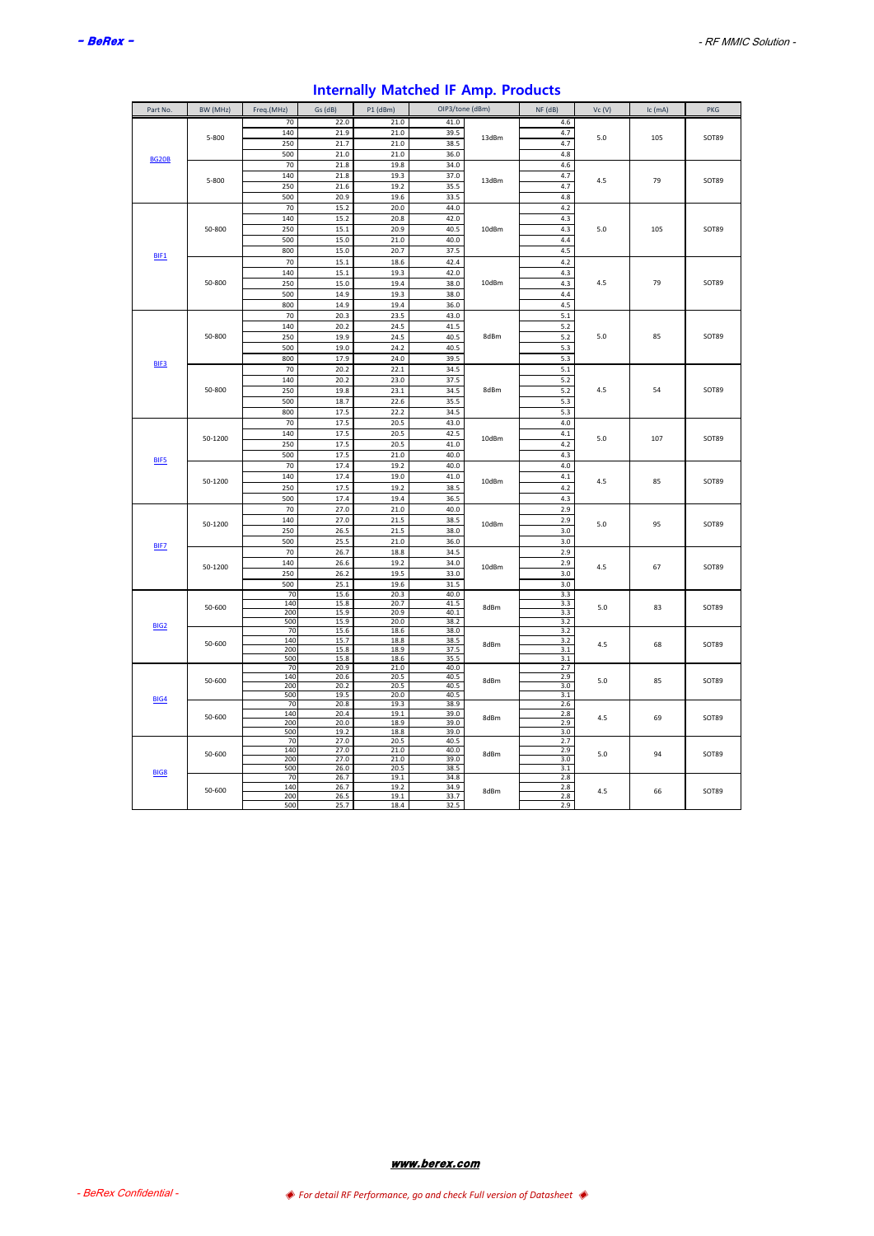| Part No.     | BW (MHz) | Freq.(MHz) | Gs (dB)      | $P1$ (dBm)   | OIP3/tone (dBm) |       | NF (dB)    | Vc(V) | Ic (mA) | PKG   |
|--------------|----------|------------|--------------|--------------|-----------------|-------|------------|-------|---------|-------|
|              |          | 70         | 22.0         | 21.0         | 41.0            |       | 4.6        |       |         |       |
|              | 5-800    | 140        | 21.9         | 21.0         | 39.5            | 13dBm | 4.7        | 5.0   | 105     | SOT89 |
|              |          | 250        | 21.7         | 21.0         | 38.5            |       | 4.7        |       |         |       |
| <b>BG20B</b> |          | 500        | 21.0         | 21.0         | 36.0            |       | 4.8        |       |         |       |
|              |          | 70         | 21.8         | 19.8         | 34.0            |       | 4.6        |       |         |       |
|              | 5-800    | 140        | 21.8         | 19.3         | 37.0            | 13dBm | 4.7        | 4.5   | 79      | SOT89 |
|              |          | 250        | 21.6         | 19.2         | 35.5            |       | 4.7        |       |         |       |
|              |          | 500        | 20.9         | 19.6         | 33.5            |       | 4.8        |       |         |       |
|              |          | 70         | 15.2         | 20.0         | 44.0            |       | 4.2        |       |         |       |
|              |          | 140        | 15.2         | 20.8         | 42.0            |       | 4.3        |       |         |       |
|              | 50-800   | 250        | 15.1         | 20.9         | 40.5            | 10dBm | 4.3        | 5.0   | 105     | SOT89 |
|              |          | 500        | 15.0         | 21.0         | 40.0            |       | 4.4        |       |         |       |
| BIF1         |          | 800        | 15.0         | 20.7         | 37.5            |       | 4.5        |       |         |       |
|              |          | 70<br>140  | 15.1         | 18.6         | 42.4<br>42.0    |       | 4.2        |       |         |       |
|              | 50-800   |            | 15.1         | 19.3         |                 | 10dBm | 4.3        | 4.5   | 79      | SOT89 |
|              |          | 250<br>500 | 15.0<br>14.9 | 19.4<br>19.3 | 38.0<br>38.0    |       | 4.3<br>4.4 |       |         |       |
|              |          | 800        | 14.9         | 19.4         | 36.0            |       | 4.5        |       |         |       |
|              |          | 70         | 20.3         | 23.5         | 43.0            |       | 5.1        |       |         |       |
|              |          | 140        | 20.2         | 24.5         | 41.5            |       | 5.2        |       |         |       |
|              | 50-800   | 250        | 19.9         | 24.5         | 40.5            | 8dBm  | 5.2        | 5.0   | 85      | SOT89 |
|              |          | 500        | 19.0         | 24.2         | 40.5            |       | 5.3        |       |         |       |
|              |          | 800        | 17.9         | 24.0         | 39.5            |       | 5.3        |       |         |       |
| BIF3         |          | 70         | 20.2         | 22.1         | 34.5            |       | 5.1        |       |         |       |
|              |          | 140        | 20.2         | 23.0         | 37.5            |       | 5.2        |       |         |       |
|              | 50-800   | 250        | 19.8         | 23.1         | 34.5            | 8dBm  | $5.2$      | 4.5   | 54      | SOT89 |
|              |          | 500        | 18.7         | 22.6         | 35.5            |       | 5.3        |       |         |       |
|              |          | 800        | 17.5         | 22.2         | 34.5            |       | 5.3        |       |         |       |
|              |          | 70         | 17.5         | 20.5         | 43.0            |       | 4.0        |       |         |       |
|              | 50-1200  | 140        | 17.5         | 20.5         | 42.5            | 10dBm | 4.1        | 5.0   | 107     | SOT89 |
|              |          | 250        | 17.5         | 20.5         | 41.0            |       | 4.2        |       |         |       |
| BIF5         |          | 500        | 17.5         | 21.0         | 40.0            |       | 4.3        |       |         |       |
|              |          | 70         | 17.4         | 19.2         | 40.0            |       | $4.0\,$    |       |         |       |
|              | 50-1200  | 140        | 17.4         | 19.0         | 41.0            | 10dBm | 4.1        | 4.5   | 85      | SOT89 |
|              |          | 250        | 17.5         | 19.2         | 38.5            |       | 4.2        |       |         |       |
|              |          | 500        | 17.4         | 19.4         | 36.5            |       | 4.3        |       |         |       |
|              |          | 70         | 27.0         | 21.0         | 40.0            |       | 2.9        |       |         |       |
|              | 50-1200  | 140        | 27.0         | 21.5         | 38.5            | 10dBm | 2.9        | 5.0   | 95      | SOT89 |
|              |          | 250        | 26.5         | 21.5         | 38.0            |       | 3.0        |       |         |       |
| <b>BIF7</b>  |          | 500        | 25.5         | 21.0         | 36.0            |       | 3.0        |       |         |       |
|              |          | 70         | 26.7         | 18.8         | 34.5            |       | 2.9        |       |         |       |
|              | 50-1200  | 140<br>250 | 26.6<br>26.2 | 19.2<br>19.5 | 34.0<br>33.0    | 10dBm | 2.9<br>3.0 | 4.5   | 67      | SOT89 |
|              |          | 500        | 25.1         | 19.6         | 31.5            |       | 3.0        |       |         |       |
|              |          | 70         | 15.6         | 20.3         | 40.0            |       | 3.3        |       |         |       |
|              |          | 140        | 15.8         | 20.7         | 41.5            |       | 3.3        |       |         |       |
|              | 50-600   | 200        | 15.9         | 20.9         | 40.1            | 8dBm  | 3.3        | 5.0   | 83      | SOT89 |
| <b>BIG2</b>  |          | 500        | 15.9         | 20.0         | 38.2            |       | 3.2        |       |         |       |
|              |          | 70<br>140  | 15.6<br>15.7 | 18.6<br>18.8 | 38.0<br>38.5    |       | 3.2        |       |         |       |
|              | 50-600   | 200        | 15.8         | 18.9         | 37.5            | 8dBm  | 3.2<br>3.1 | 4.5   | 68      | SOT89 |
|              |          | 500        | 15.8         | 18.6         | 35.5            |       | 3.1        |       |         |       |
|              |          | 70         | 20.9         | 21.0         | 40.0            |       | 2.7        |       |         |       |
|              | 50-600   | 140        | 20.6         | 20.5         | 40.5            | 8dBm  | 2.9        | 5.0   | 85      | SOT89 |
|              |          | 200<br>500 | 20.2<br>19.5 | 20.5<br>20.0 | 40.5<br>40.5    |       | 3.0<br>3.1 |       |         |       |
| BIG4         |          | 70         | 20.8         | 19.3         | 38.9            |       | 2.6        |       |         |       |
|              | 50-600   | 140        | 20.4         | 19.1         | 39.0            | 8dBm  | 2.8        | 4.5   | 69      | SOT89 |
|              |          | 200        | 20.0         | 18.9         | 39.0            |       | 2.9        |       |         |       |
|              |          | 500        | 19.2         | 18.8         | 39.0            |       | 3.0        |       |         |       |
|              |          | 70<br>140  | 27.0<br>27.0 | 20.5<br>21.0 | 40.5<br>40.0    |       | 2.7<br>2.9 |       |         |       |
|              | 50-600   | 200        | 27.0         | 21.0         | 39.0            | 8dBm  | 3.0        | 5.0   | 94      | SOT89 |
| <b>BIG8</b>  |          | 500        | 26.0         | 20.5         | 38.5            |       | 3.1        |       |         |       |
|              |          | 70         | 26.7         | 19.1         | 34.8            |       | 2.8        |       |         |       |
|              | 50-600   | 140        | 26.7         | 19.2         | 34.9            | 8dBm  | 2.8        | 4.5   | 66      | SOT89 |
|              |          | 200<br>500 | 26.5<br>25.7 | 19.1<br>18.4 | 33.7<br>32.5    |       | 2.8<br>2.9 |       |         |       |
|              |          |            |              |              |                 |       |            |       |         |       |

# **Internally Matched IF Amp. Products**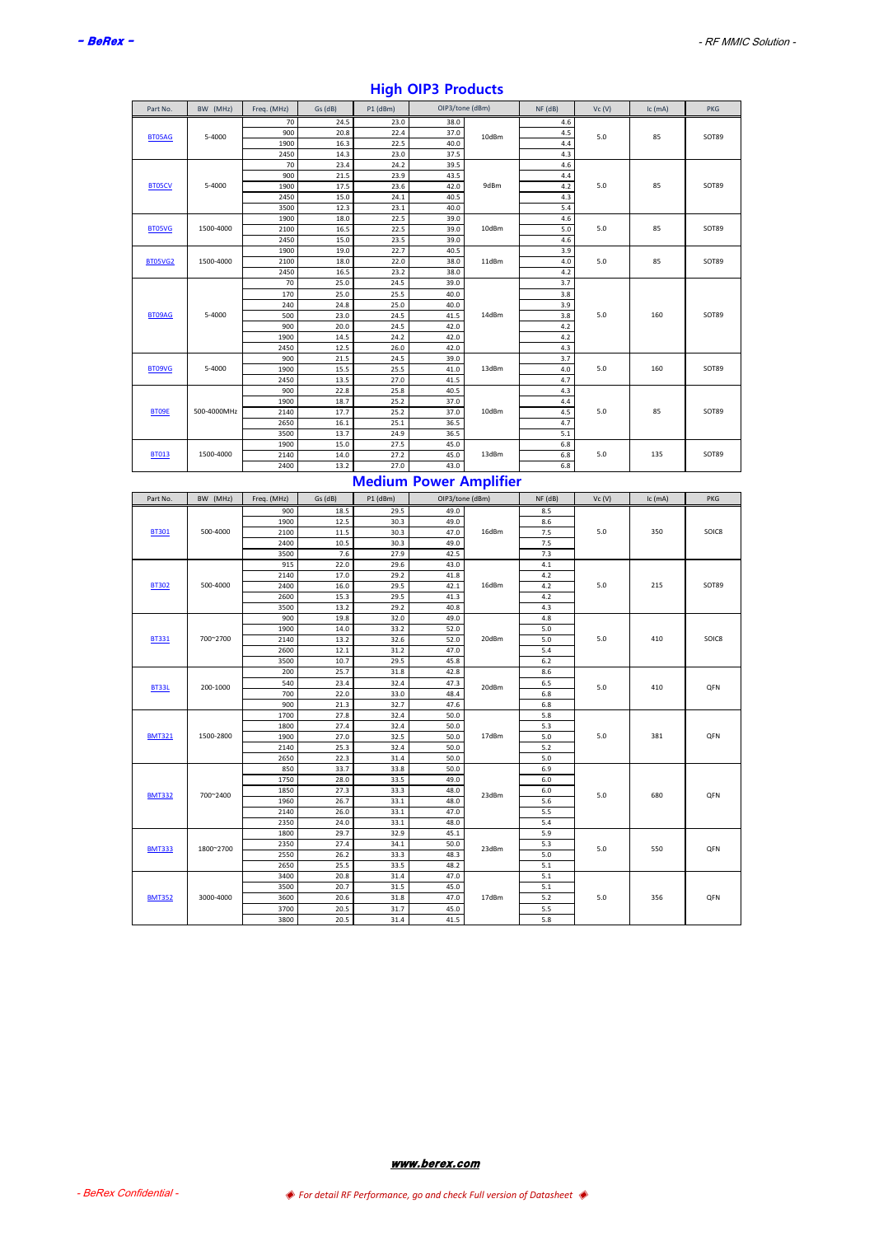| Part No.       | BW (MHz)    | Freq. (MHz) | Gs (dB) | $P1$ (dBm) | OIP3/tone (dBm) |       | $NF$ ( $dB$ ) | Vc(V) | Ic (mA) | <b>PKG</b> |
|----------------|-------------|-------------|---------|------------|-----------------|-------|---------------|-------|---------|------------|
|                |             | 70          | 24.5    | 23.0       | 38.0            |       | 4.6           |       |         |            |
| BT05AG         | 5-4000      | 900         | 20.8    | 22.4       | 37.0            | 10dBm | 4.5           | 5.0   | 85      | SOT89      |
|                |             | 1900        | 16.3    | 22.5       | 40.0            |       | 4.4           |       |         |            |
|                |             | 2450        | 14.3    | 23.0       | 37.5            |       | 4.3           |       |         |            |
|                |             | 70          | 23.4    | 24.2       | 39.5            |       | 4.6           |       |         |            |
|                |             | 900         | 21.5    | 23.9       | 43.5            |       | 4.4           |       |         |            |
| <b>BT05CV</b>  | 5-4000      | 1900        | 17.5    | 23.6       | 42.0            | 9dBm  | 4.2           | 5.0   | 85      | SOT89      |
|                |             | 2450        | 15.0    | 24.1       | 40.5            |       | 4.3           |       |         |            |
|                |             | 3500        | 12.3    | 23.1       | 40.0            |       | 5.4           |       |         |            |
|                |             | 1900        | 18.0    | 22.5       | 39.0            |       | 4.6           |       |         |            |
| <b>BT05VG</b>  | 1500-4000   | 2100        | 16.5    | 22.5       | 39.0            | 10dBm | 5.0           | 5.0   | 85      | SOT89      |
|                |             | 2450        | 15.0    | 23.5       | 39.0            |       | 4.6           |       |         |            |
|                |             | 1900        | 19.0    | 22.7       | 40.5            |       | 3.9           |       |         |            |
| <b>BT05VG2</b> | 1500-4000   | 2100        | 18.0    | 22.0       | 38.0            | 11dBm | 4.0           | 5.0   | 85      | SOT89      |
|                |             | 2450        | 16.5    | 23.2       | 38.0            |       | 4.2           |       |         |            |
|                |             | 70          | 25.0    | 24.5       | 39.0            |       | 3.7           |       |         |            |
|                |             | 170         | 25.0    | 25.5       | 40.0            |       | 3.8           |       |         |            |
|                |             | 240         | 24.8    | 25.0       | 40.0            |       | 3.9           |       |         |            |
| BT09AG         | 5-4000      | 500         | 23.0    | 24.5       | 41.5            | 14dBm | 3.8           | 5.0   | 160     | SOT89      |
|                |             | 900         | 20.0    | 24.5       | 42.0            |       | 4.2           |       |         |            |
|                |             | 1900        | 14.5    | 24.2       | 42.0            |       | 4.2           |       |         |            |
|                |             | 2450        | 12.5    | 26.0       | 42.0            |       | 4.3           |       |         |            |
|                |             | 900         | 21.5    | 24.5       | 39.0            |       | 3.7           |       |         |            |
| BT09VG         | 5-4000      | 1900        | 15.5    | 25.5       | 41.0            | 13dBm | 4.0           | 5.0   | 160     | SOT89      |
|                |             | 2450        | 13.5    | 27.0       | 41.5            |       | 4.7           |       |         |            |
|                |             | 900         | 22.8    | 25.8       | 40.5            |       | 4.3           |       |         |            |
|                |             | 1900        | 18.7    | 25.2       | 37.0            |       | 4.4           |       |         |            |
| BT09E          | 500-4000MHz | 2140        | 17.7    | 25.2       | 37.0            | 10dBm | 4.5           | 5.0   | 85      | SOT89      |
|                |             | 2650        | 16.1    | 25.1       | 36.5            |       | 4.7           |       |         |            |
|                |             | 3500        | 13.7    | 24.9       | 36.5            |       | 5.1           |       |         |            |
|                |             | 1900        | 15.0    | 27.5       | 45.0            |       | 6.8           |       |         |            |
| <b>BT013</b>   | 1500-4000   | 2140        | 14.0    | 27.2       | 45.0            | 13dBm | 6.8           | 5.0   | 135     | SOT89      |
|                |             | 2400        | 13.2    | 27.0       | 43.0            |       | 6.8           |       |         |            |

# **High OIP3 Products**

# 13.2 27.0 43.0 6.8 **Medium Power Amplifier**

| Part No.      | BW (MHz)  | Freq. (MHz) | Gs (dB) | $P1$ (dBm) | OIP3/tone (dBm) |       | $NF$ (dB) | Vc(V) | Ic (mA) | <b>PKG</b> |
|---------------|-----------|-------------|---------|------------|-----------------|-------|-----------|-------|---------|------------|
|               |           | 900         | 18.5    | 29.5       | 49.0            |       | 8.5       |       |         |            |
|               |           | 1900        | 12.5    | 30.3       | 49.0            |       | 8.6       |       |         |            |
| <b>BT301</b>  | 500-4000  | 2100        | 11.5    | 30.3       | 47.0            | 16dBm | 7.5       | 5.0   | 350     | SOIC8      |
|               |           | 2400        | 10.5    | 30.3       | 49.0            |       | 7.5       |       |         |            |
|               |           | 3500        | 7.6     | 27.9       | 42.5            |       | 7.3       |       |         |            |
|               |           | 915         | 22.0    | 29.6       | 43.0            |       | 4.1       |       |         |            |
|               |           | 2140        | 17.0    | 29.2       | 41.8            |       | 4.2       |       |         |            |
| <b>BT302</b>  | 500-4000  | 2400        | 16.0    | 29.5       | 42.1            | 16dBm | 4.2       | 5.0   | 215     | SOT89      |
|               |           | 2600        | 15.3    | 29.5       | 41.3            |       | 4.2       |       |         |            |
|               |           | 3500        | 13.2    | 29.2       | 40.8            |       | 4.3       |       |         |            |
|               |           | 900         | 19.8    | 32.0       | 49.0            |       | 4.8       |       |         |            |
|               |           | 1900        | 14.0    | 33.2       | 52.0            |       | 5.0       |       |         |            |
| <b>BT331</b>  | 700~2700  | 2140        | 13.2    | 32.6       | 52.0            | 20dBm | 5.0       | 5.0   | 410     | SOIC8      |
|               |           | 2600        | 12.1    | 31.2       | 47.0            |       | 5.4       |       |         |            |
|               |           | 3500        | 10.7    | 29.5       | 45.8            |       | 6.2       |       |         |            |
|               |           | 200         | 25.7    | 31.8       | 42.8            |       | 8.6       |       |         |            |
| BT33L         | 200-1000  | 540         | 23.4    | 32.4       | 47.3            | 20dBm | 6.5       | 5.0   | 410     | <b>QFN</b> |
|               |           | 700         | 22.0    | 33.0       | 48.4            |       | 6.8       |       |         |            |
|               |           | 900         | 21.3    | 32.7       | 47.6            |       | 6.8       |       |         |            |
|               |           | 1700        | 27.8    | 32.4       | 50.0            |       | 5.8       |       |         |            |
|               |           | 1800        | 27.4    | 32.4       | 50.0            |       | 5.3       |       |         |            |
| <b>BMT321</b> | 1500-2800 | 1900        | 27.0    | 32.5       | 50.0            | 17dBm | 5.0       | 5.0   | 381     | OFN        |
|               |           | 2140        | 25.3    | 32.4       | 50.0            |       | 5.2       |       |         |            |
|               |           | 2650        | 22.3    | 31.4       | 50.0            |       | 5.0       |       |         |            |
|               |           | 850         | 33.7    | 33.8       | 50.0            |       | 6.9       |       |         |            |
|               |           | 1750        | 28.0    | 33.5       | 49.0            |       | $6.0\,$   |       |         |            |
| <b>BMT332</b> | 700~2400  | 1850        | 27.3    | 33.3       | 48.0            | 23dBm | $6.0\,$   | 5.0   | 680     | QFN        |
|               |           | 1960        | 26.7    | 33.1       | 48.0            |       | 5.6       |       |         |            |
|               |           | 2140        | 26.0    | 33.1       | 47.0            |       | 5.5       |       |         |            |
|               |           | 2350        | 24.0    | 33.1       | 48.0            |       | 5.4       |       |         |            |
|               |           | 1800        | 29.7    | 32.9       | 45.1            |       | 5.9       |       |         |            |
|               | 1800~2700 | 2350        | 27.4    | 34.1       | 50.0            | 23dBm | 5.3       | 5.0   | 550     | <b>QFN</b> |
| <b>BMT333</b> |           | 2550        | 26.2    | 33.3       | 48.3            |       | 5.0       |       |         |            |
|               |           | 2650        | 25.5    | 33.5       | 48.2            |       | 5.1       |       |         |            |
|               |           | 3400        | 20.8    | 31.4       | 47.0            |       | 5.1       |       |         |            |
|               |           | 3500        | 20.7    | 31.5       | 45.0            |       | 5.1       |       |         |            |
| <b>BMT352</b> | 3000-4000 | 3600        | 20.6    | 31.8       | 47.0            | 17dBm | 5.2       | 5.0   | 356     | OFN        |
|               |           | 3700        | 20.5    | 31.7       | 45.0            |       | 5.5       |       |         |            |
|               |           | 3800        | 20.5    | 31.4       | 41.5            |       | 5.8       |       |         |            |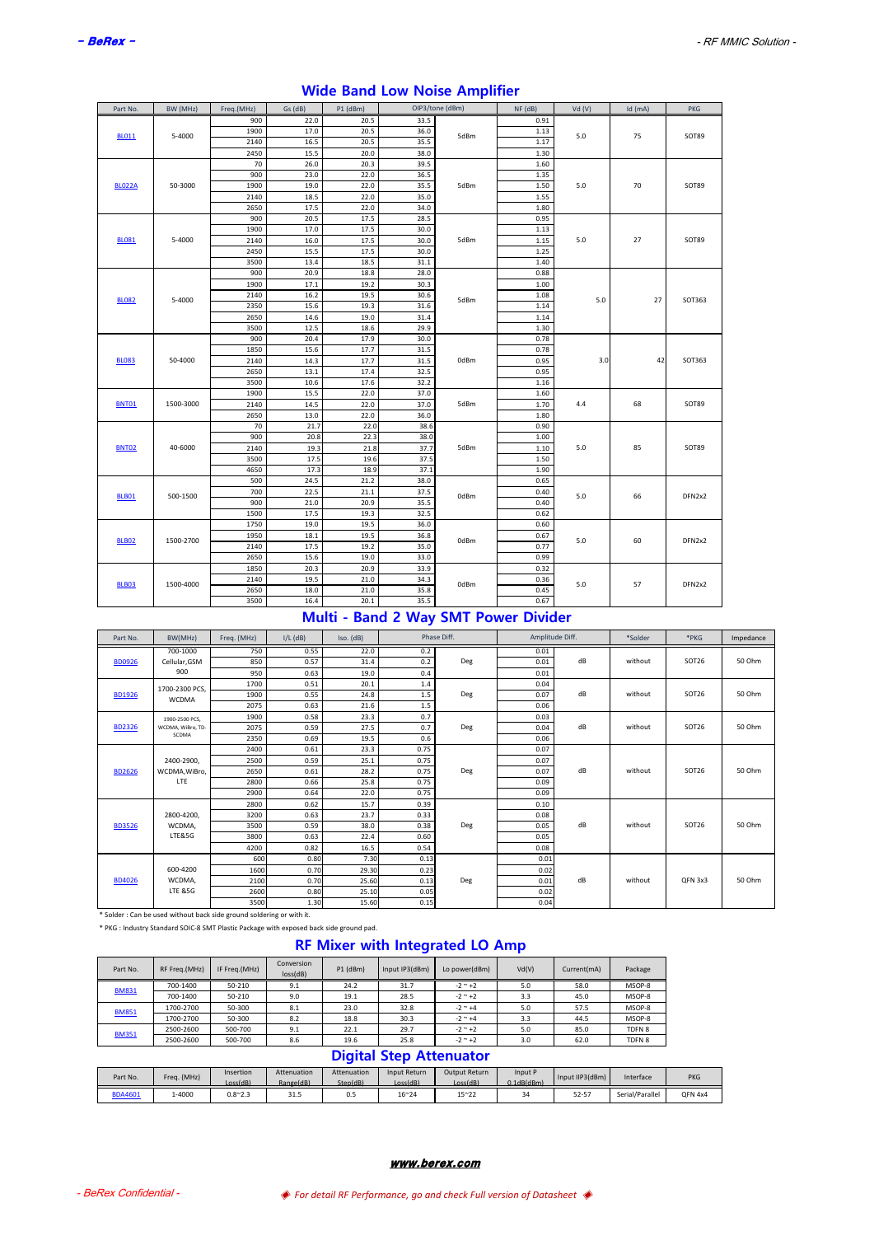| Part No.      | BW (MHz)  | Freq.(MHz) | Gs (dB) | P1 (dBm) |      | OIP3/tone (dBm) | NF (dB) | Vd(V) | $Id$ (mA) | <b>PKG</b> |
|---------------|-----------|------------|---------|----------|------|-----------------|---------|-------|-----------|------------|
|               |           | 900        | 22.0    | 20.5     | 33.5 |                 | 0.91    |       |           |            |
| <b>BL011</b>  | 5-4000    | 1900       | 17.0    | 20.5     | 36.0 | 5dBm            | 1.13    | 5.0   | 75        | SOT89      |
|               |           | 2140       | 16.5    | 20.5     | 35.5 |                 | 1.17    |       |           |            |
|               |           | 2450       | 15.5    | 20.0     | 38.0 |                 | 1.30    |       |           |            |
|               |           | 70         | 26.0    | 20.3     | 39.5 |                 | 1.60    |       |           |            |
|               |           | 900        | 23.0    | 22.0     | 36.5 |                 | 1.35    |       |           |            |
| <b>BLO22A</b> | 50-3000   | 1900       | 19.0    | 22.0     | 35.5 | 5dBm            | 1.50    | 5.0   | 70        | SOT89      |
|               |           | 2140       | 18.5    | 22.0     | 35.0 |                 | 1.55    |       |           |            |
|               |           | 2650       | 17.5    | 22.0     | 34.0 |                 | 1.80    |       |           |            |
|               |           | 900        | 20.5    | 17.5     | 28.5 |                 | 0.95    |       |           |            |
|               |           | 1900       | 17.0    | 17.5     | 30.0 |                 | 1.13    |       |           |            |
| <b>BL081</b>  | 5-4000    | 2140       | 16.0    | 17.5     | 30.0 | 5dBm            | 1.15    | 5.0   | 27        | SOT89      |
|               |           | 2450       | 15.5    | 17.5     | 30.0 |                 | 1.25    |       |           |            |
|               |           | 3500       | 13.4    | 18.5     | 31.1 |                 | 1.40    |       |           |            |
|               |           | 900        | 20.9    | 18.8     | 28.0 |                 | 0.88    |       |           |            |
|               |           | 1900       | 17.1    | 19.2     | 30.3 |                 | 1.00    |       |           |            |
| <b>BL082</b>  | 5-4000    | 2140       | 16.2    | 19.5     | 30.6 | 5dBm            | 1.08    | 5.0   | 27        | SOT363     |
|               |           | 2350       | 15.6    | 19.3     | 31.6 |                 | 1.14    |       |           |            |
|               |           | 2650       | 14.6    | 19.0     | 31.4 |                 | 1.14    |       |           |            |
|               |           | 3500       | 12.5    | 18.6     | 29.9 |                 | 1.30    |       |           |            |
|               |           | 900        | 20.4    | 17.9     | 30.0 |                 | 0.78    |       |           |            |
|               |           | 1850       | 15.6    | 17.7     | 31.5 |                 | 0.78    |       |           |            |
| <b>BL083</b>  | 50-4000   | 2140       | 14.3    | 17.7     | 31.5 | 0dBm            | 0.95    | 3.0   | 42        | SOT363     |
|               |           | 2650       | 13.1    | 17.4     | 32.5 |                 | 0.95    |       |           |            |
|               |           | 3500       | 10.6    | 17.6     | 32.2 |                 | 1.16    |       |           |            |
|               |           | 1900       | 15.5    | 22.0     | 37.0 |                 | 1.60    |       |           |            |
| <b>BNT01</b>  | 1500-3000 | 2140       | 14.5    | 22.0     | 37.0 | 5dBm            | 1.70    | 4.4   | 68        | SOT89      |
|               |           | 2650       | 13.0    | 22.0     | 36.0 |                 | 1.80    |       |           |            |
|               |           | 70         | 21.7    | 22.0     | 38.6 |                 | 0.90    |       |           |            |
|               |           | 900        | 20.8    | 22.3     | 38.0 |                 | 1.00    |       |           |            |
| <b>BNT02</b>  | 40-6000   | 2140       | 19.3    | 21.8     | 37.7 | 5dBm            | 1.10    | 5.0   | 85        | SOT89      |
|               |           | 3500       | 17.5    | 19.6     | 37.5 |                 | 1.50    |       |           |            |
|               |           | 4650       | 17.3    | 18.9     | 37.1 |                 | 1.90    |       |           |            |
|               |           | 500        | 24.5    | 21.2     | 38.0 |                 | 0.65    |       |           |            |
| <b>BLB01</b>  | 500-1500  | 700        | 22.5    | 21.1     | 37.5 | 0dBm            | 0.40    | 5.0   | 66        | DFN2x2     |
|               |           | 900        | 21.0    | 20.9     | 35.5 |                 | 0.40    |       |           |            |
|               |           | 1500       | 17.5    | 19.3     | 32.5 |                 | 0.62    |       |           |            |
|               |           | 1750       | 19.0    | 19.5     | 36.0 |                 | 0.60    |       |           |            |
| <b>BLB02</b>  | 1500-2700 | 1950       | 18.1    | 19.5     | 36.8 | 0dBm            | 0.67    | 5.0   | 60        | DFN2x2     |
|               |           | 2140       | 17.5    | 19.2     | 35.0 |                 | 0.77    |       |           |            |
|               |           | 2650       | 15.6    | 19.0     | 33.0 |                 | 0.99    |       |           |            |
|               |           | 1850       | 20.3    | 20.9     | 33.9 |                 | 0.32    |       |           |            |
|               | 1500-4000 | 2140       | 19.5    | 21.0     | 34.3 | 0dBm            | 0.36    | 5.0   | 57        | DFN2x2     |
| <b>BLB03</b>  |           | 2650       | 18.0    | 21.0     | 35.8 |                 | 0.45    |       |           |            |
|               |           | 3500       | 16.4    | 20.1     | 35.5 |                 | 0.67    |       |           |            |

# **Wide Band Low Noise Amplifier**

## **Multi - Band 2 Way SMT Power Divider**

| Part No.      | BW(MHz)                    | Freq. (MHz) | $I/L$ (dB) | Iso. (dB) | Phase Diff. |     | Amplitude Diff. |    | *Solder | *PKG              | Impedance |
|---------------|----------------------------|-------------|------------|-----------|-------------|-----|-----------------|----|---------|-------------------|-----------|
|               | 700-1000                   | 750         | 0.55       | 22.0      | 0.2         |     | 0.01            |    |         |                   |           |
| <b>BD0926</b> | Cellular, GSM              | 850         | 0.57       | 31.4      | 0.2         | Deg | 0.01            | dB | without | SOT <sub>26</sub> | 50 Ohm    |
|               | 900                        | 950         | 0.63       | 19.0      | 0.4         |     | 0.01            |    |         |                   |           |
|               | 1700-2300 PCS,             | 1700        | 0.51       | 20.1      | $1.4$       |     | 0.04            |    |         |                   |           |
| <b>BD1926</b> | <b>WCDMA</b>               | 1900        | 0.55       | 24.8      | 1.5         | Deg | 0.07            | dB | without | SOT <sub>26</sub> | 50 Ohm    |
|               |                            | 2075        | 0.63       | 21.6      | 1.5         |     | 0.06            |    |         |                   |           |
|               | 1900-2500 PCS.             | 1900        | 0.58       | 23.3      | 0.7         |     | 0.03            |    |         |                   |           |
| <b>BD2326</b> | WCDMA, WiBro, TD-<br>SCDMA | 2075        | 0.59       | 27.5      | 0.7         | Deg | 0.04            | dB | without | SOT26             | 50 Ohm    |
|               |                            | 2350        | 0.69       | 19.5      | 0.6         |     | 0.06            |    |         |                   |           |
|               |                            | 2400        | 0.61       | 23.3      | 0.75        |     | 0.07            |    |         |                   |           |
|               | 2400-2900,                 | 2500        | 0.59       | 25.1      | 0.75        |     | 0.07            |    |         |                   |           |
| <b>BD2626</b> | WCDMA, WiBro,              | 2650        | 0.61       | 28.2      | 0.75        | Deg | 0.07            | dB | without | SOT <sub>26</sub> | 50 Ohm    |
|               | LTE                        | 2800        | 0.66       | 25.8      | 0.75        |     | 0.09            |    |         |                   |           |
|               |                            | 2900        | 0.64       | 22.0      | 0.75        |     | 0.09            |    |         |                   |           |
|               |                            | 2800        | 0.62       | 15.7      | 0.39        |     | 0.10            |    |         |                   |           |
|               | 2800-4200.                 | 3200        | 0.63       | 23.7      | 0.33        |     | 0.08            |    |         |                   |           |
| <b>BD3526</b> | WCDMA,                     | 3500        | 0.59       | 38.0      | 0.38        | Deg | 0.05            | dB | without | SOT <sub>26</sub> | 50 Ohm    |
|               | <b>LTE&amp;5G</b>          | 3800        | 0.63       | 22.4      | 0.60        |     | 0.05            |    |         |                   |           |
|               |                            | 4200        | 0.82       | 16.5      | 0.54        |     | 0.08            |    |         |                   |           |
|               |                            | 600         | 0.80       | 7.30      | 0.13        |     | 0.01            |    |         |                   |           |
|               | 600-4200                   | 1600        | 0.70       | 29.30     | 0.23        |     | 0.02            |    |         |                   |           |
| <b>BD4026</b> | WCDMA,                     | 2100        | 0.70       | 25.60     | 0.13        | Deg | 0.01            | dB | without | QFN 3x3           | 50 Ohm    |
|               | <b>LTE &amp;5G</b>         | 2600        | 0.80       | 25.10     | 0.05        |     | 0.02            |    |         |                   |           |
|               |                            | 3500        | 1.30       | 15.60     | 0.15        |     | 0.04            |    |         |                   |           |

\* Solder : Can be used without back side ground soldering or with it.

\* PKG : Industry Standard SOIC-8 SMT Plastic Package with exposed back side ground pad.

# **RF Mixer with Integrated LO Amp**

| Part No.                       | RF Freq.(MHz) | IF Freq.(MHz) | Conversion<br>loss(dB) | P1 (dBm) | Input IP3(dBm) | Lo power(dBm)    | Vd(V) | Current(mA) | Package |  |  |
|--------------------------------|---------------|---------------|------------------------|----------|----------------|------------------|-------|-------------|---------|--|--|
|                                | 700-1400      | 50-210        | 9.1                    | 24.2     | 31.7           | $-2$ $-$ +2      | 5.0   | 58.0        | MSOP-8  |  |  |
| <b>BM831</b>                   | 700-1400      | 50-210        | 9.0                    | 19.1     | 28.5           | $-2$ $-$ +2      | 3.3   | 45.0        | MSOP-8  |  |  |
| <b>BM851</b>                   | 1700-2700     | 50-300        | 8.1                    | 23.0     | 32.8           | $-2$ $ +4$       | 5.0   | 57.5        | MSOP-8  |  |  |
|                                | 1700-2700     | 50-300        | 8.2                    | 18.8     | 30.3           | $-2$ $\sim$ $+4$ | 3.3   | 44.5        | MSOP-8  |  |  |
| <b>BM351</b>                   | 2500-2600     | 500-700       | 9.1                    | 22.1     | 29.7           | $-2$ $\sim$ $+2$ | 5.0   | 85.0        | TDFN 8  |  |  |
|                                | 2500-2600     | 500-700       | 8.6                    | 19.6     | 25.8           | $-2$ $\sim$ $+2$ | 3.0   | 62.0        | TDFN 8  |  |  |
| <b>Digital Step Attenuator</b> |               |               |                        |          |                |                  |       |             |         |  |  |

| Part No.       | Freg. (MHz)   | Insertion       | Attenuation | Attenuation | Input Return | Output Return | Input P               | Input IIP3(dBm) | Interface       | <b>PKG</b> |
|----------------|---------------|-----------------|-------------|-------------|--------------|---------------|-----------------------|-----------------|-----------------|------------|
|                |               | Loss(dB)        | Range(dB)   | Step(dB)    | Loss(dB)     | Loss(dB)      | $0.1$ d $B$ (d $B$ m) |                 |                 |            |
| <b>BDA4601</b> | <b>4-4000</b> | $0.8^{\sim}2.3$ | 31.3        | 0.5         | 16~24        | $15^{\sim}22$ | 34                    | $52 - 57$       | Serial/Parallel | QFN 4x4    |